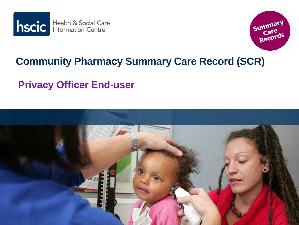



#### **Community Pharmacy Summary Care Record (SCR)**

#### **Privacy Officer End-user**

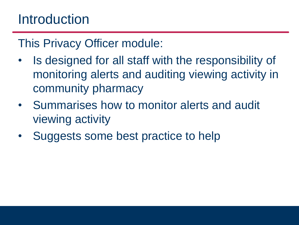## **Introduction**

This Privacy Officer module:

- Is designed for all staff with the responsibility of monitoring alerts and auditing viewing activity in community pharmacy
- Summarises how to monitor alerts and audit viewing activity
- Suggests some best practice to help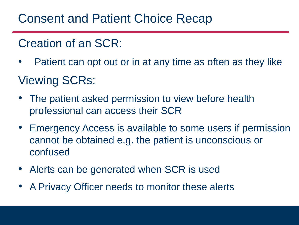#### Consent and Patient Choice Recap

#### Creation of an SCR:

Patient can opt out or in at any time as often as they like

#### Viewing SCRs:

- The patient asked permission to view before health professional can access their SCR
- Emergency Access is available to some users if permission cannot be obtained e.g. the patient is unconscious or confused
- Alerts can be generated when SCR is used
- A Privacy Officer needs to monitor these alerts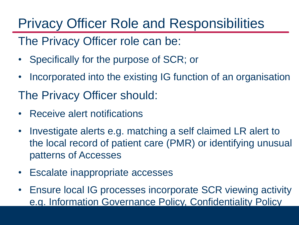# Privacy Officer Role and Responsibilities

The Privacy Officer role can be:

- Specifically for the purpose of SCR; or
- Incorporated into the existing IG function of an organisation

The Privacy Officer should:

- Receive alert notifications
- Investigate alerts e.g. matching a self claimed LR alert to the local record of patient care (PMR) or identifying unusual patterns of Accesses
- Escalate inappropriate accesses
- Ensure local IG processes incorporate SCR viewing activity e.g. Information Governance Policy, Confidentiality Policy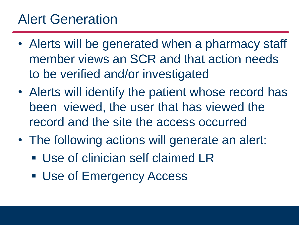## Alert Generation

- Alerts will be generated when a pharmacy staff member views an SCR and that action needs to be verified and/or investigated
- Alerts will identify the patient whose record has been viewed, the user that has viewed the record and the site the access occurred
- The following actions will generate an alert:
	- Use of clinician self claimed LR
	- **Use of Emergency Access**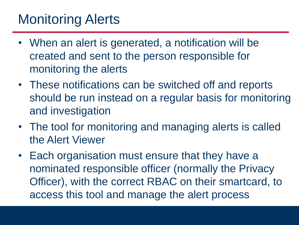## Monitoring Alerts

- When an alert is generated, a notification will be created and sent to the person responsible for monitoring the alerts
- These notifications can be switched off and reports should be run instead on a regular basis for monitoring and investigation
- The tool for monitoring and managing alerts is called the Alert Viewer
- Each organisation must ensure that they have a nominated responsible officer (normally the Privacy Officer), with the correct RBAC on their smartcard, to access this tool and manage the alert process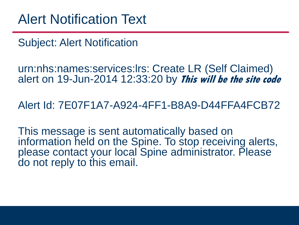Subject: Alert Notification

urn:nhs:names:services:lrs: Create LR (Self Claimed) alert on 19-Jun-2014 12:33:20 by **This will be the site code**

Alert Id: 7E07F1A7-A924-4FF1-B8A9-D44FFA4FCB72

This message is sent automatically based on information held on the Spine. To stop receiving alerts, please contact your local Spine administrator. Please do not reply to this email.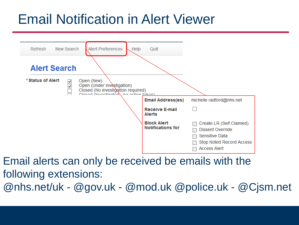# Email Notification in Alert Viewer



Email alerts can only be received be emails with the following extensions: @nhs.net/uk - @gov.uk - @mod.uk @police.uk - @Cjsm.net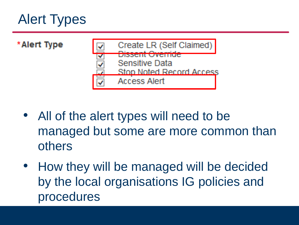# Alert Types



- All of the alert types will need to be managed but some are more common than others
- How they will be managed will be decided by the local organisations IG policies and procedures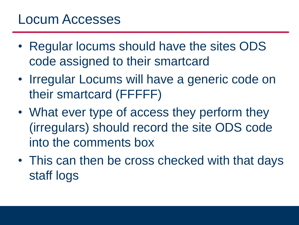#### Locum Accesses

- Regular locums should have the sites ODS code assigned to their smartcard
- Irregular Locums will have a generic code on their smartcard (FFFFF)
- What ever type of access they perform they (irregulars) should record the site ODS code into the comments box
- This can then be cross checked with that days staff logs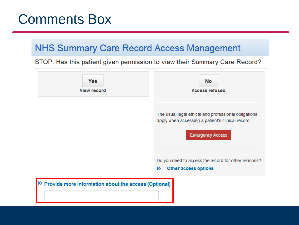#### Comments Box

#### **NHS Summary Care Record Access Management**

STOP. Has this patient given permission to view their Summary Care Record?

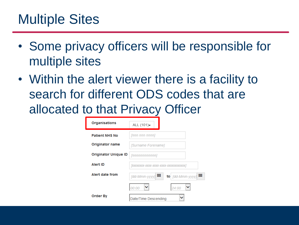#### Multiple Sites

- Some privacy officers will be responsible for multiple sites
- Within the alert viewer there is a facility to search for different ODS codes that are allocated to that Privacy Officer

| <b>Organisations</b>        | ALL $(101)$                                         |
|-----------------------------|-----------------------------------------------------|
| <b>Patient NHS No</b>       | [nnn nnn nnnn]                                      |
| Originator name             | [Surname Forename]                                  |
| <b>Originator Unique ID</b> | [nnnnnnnnnnn]                                       |
| <b>Alert ID</b>             |                                                     |
| Alert date from             | ₩<br>₩<br>to $\lceil$ dd-Mmm-yyyy]<br>[dd-Mmm-yyyy] |
|                             | 00:00<br>24:00                                      |
| <b>Order By</b>             | Date/Time Descending                                |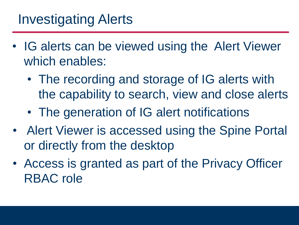## Investigating Alerts

- IG alerts can be viewed using the Alert Viewer which enables:
	- The recording and storage of IG alerts with the capability to search, view and close alerts
	- The generation of IG alert notifications
- Alert Viewer is accessed using the Spine Portal or directly from the desktop
- Access is granted as part of the Privacy Officer RBAC role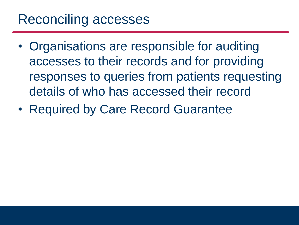## Reconciling accesses

- Organisations are responsible for auditing accesses to their records and for providing responses to queries from patients requesting details of who has accessed their record
- Required by Care Record Guarantee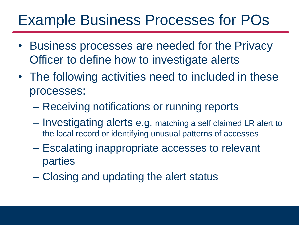# Example Business Processes for POs

- Business processes are needed for the Privacy Officer to define how to investigate alerts
- The following activities need to included in these processes:
	- Receiving notifications or running reports
	- Investigating alerts e.g. matching a self claimed LR alert to the local record or identifying unusual patterns of accesses
	- Escalating inappropriate accesses to relevant parties
	- Closing and updating the alert status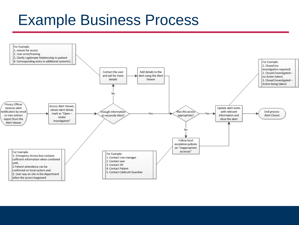# Example Business Process

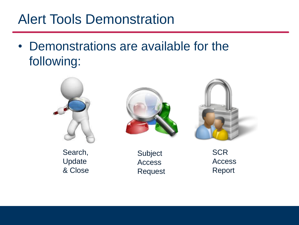## Alert Tools Demonstration

• Demonstrations are available for the following:

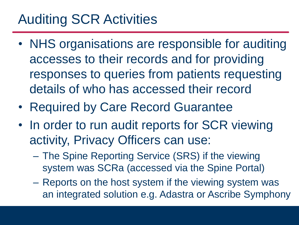## Auditing SCR Activities

- NHS organisations are responsible for auditing accesses to their records and for providing responses to queries from patients requesting details of who has accessed their record
- Required by Care Record Guarantee
- In order to run audit reports for SCR viewing activity, Privacy Officers can use:
	- The Spine Reporting Service (SRS) if the viewing system was SCRa (accessed via the Spine Portal)
	- Reports on the host system if the viewing system was an integrated solution e.g. Adastra or Ascribe Symphony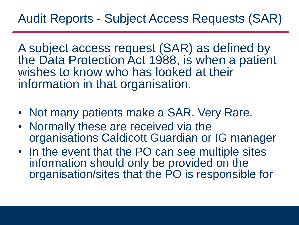A subject access request (SAR) as defined by the Data Protection Act 1988, is when a patient wishes to know who has looked at their information in that organisation.

- Not many patients make a SAR. Very Rare.
- Normally these are received via the organisations Caldicott Guardian or IG manager
- In the event that the PO can see multiple sites information should only be provided on the organisation/sites that the PO is responsible for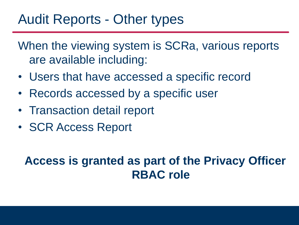#### Audit Reports - Other types

When the viewing system is SCRa, various reports are available including:

- Users that have accessed a specific record
- Records accessed by a specific user
- Transaction detail report
- SCR Access Report

#### **Access is granted as part of the Privacy Officer RBAC role**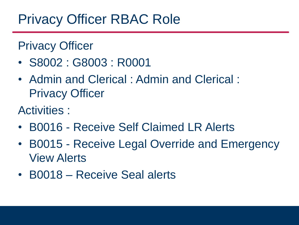## Privacy Officer RBAC Role

#### Privacy Officer

- S8002 : G8003 : R0001
- Admin and Clerical : Admin and Clerical : Privacy Officer
- Activities :
- B0016 Receive Self Claimed LR Alerts
- B0015 Receive Legal Override and Emergency View Alerts
- B0018 Receive Seal alerts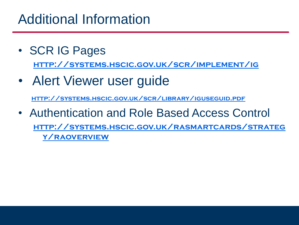## Additional Information

- SCR IG Pages **<http://systems.hscic.gov.uk/scr/implement/ig>**
- Alert Viewer user guide

**<http://systems.hscic.gov.uk/scr/library/iguseguid.pdf>**

• Authentication and Role Based Access Control **[http://systems.hscic.gov.uk/rasmartcards/strateg](http://systems.hscic.gov.uk/rasmartcards/strategy/raoverview) y/raoverview**